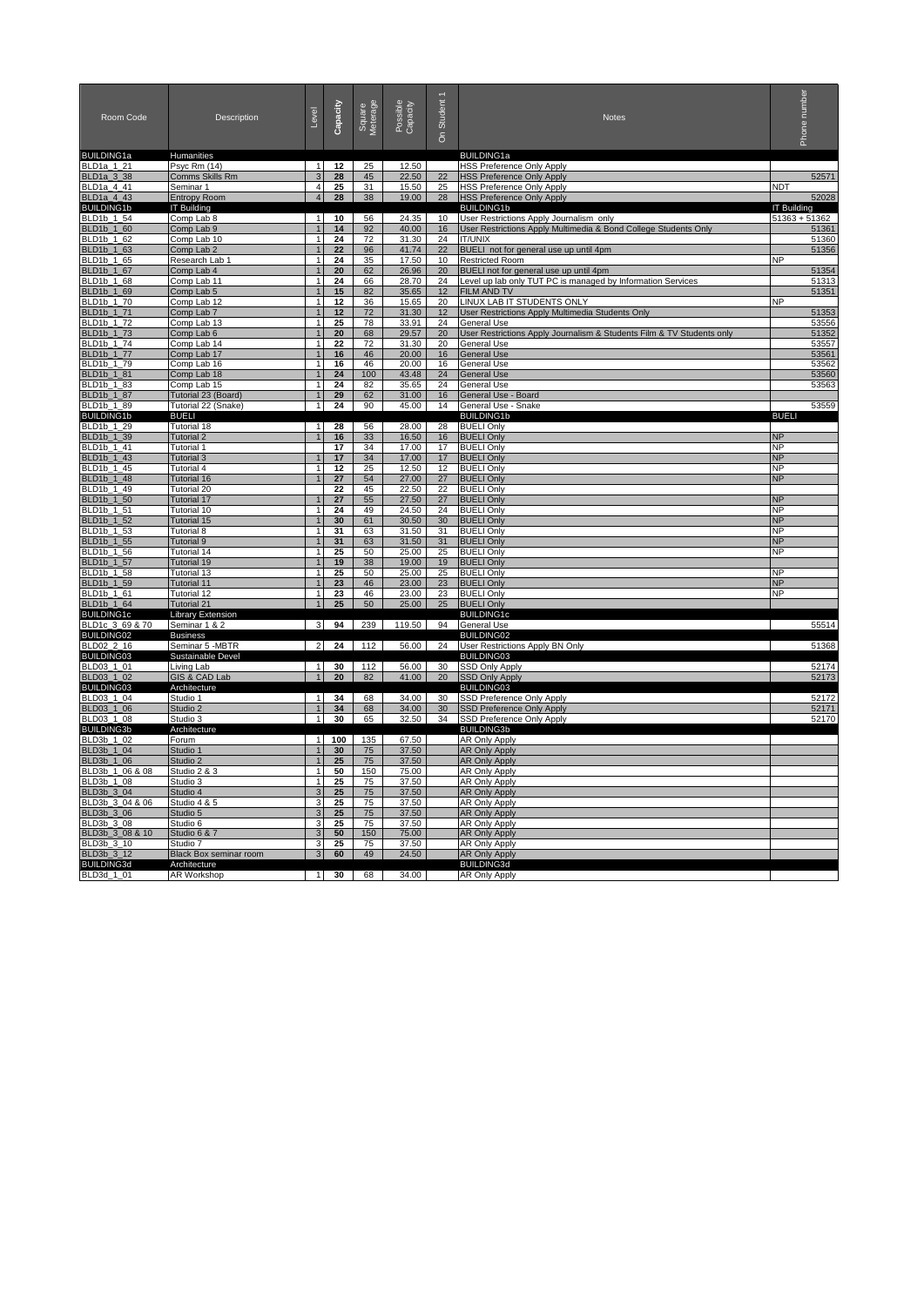| Room Code                       | Description                             | Level                          | Capacity     | Square<br>Meterage | Possible<br>Capacity | Student 1<br>င်္ | Notes                                                                             | Phone number           |  |
|---------------------------------|-----------------------------------------|--------------------------------|--------------|--------------------|----------------------|------------------|-----------------------------------------------------------------------------------|------------------------|--|
| <b>BUILDING1a</b>               | Humanities                              |                                |              |                    |                      |                  | <b>BUILDING1a</b>                                                                 |                        |  |
| BLD1a_1_21<br><b>BLD1a 3 38</b> | Psyc Rm (14)<br>Comms Skills Rm         | $\overline{1}$<br>$\mathbf{R}$ | 12<br>28     | 25<br>45           | 12.50<br>22.50       | 22               | <b>HSS Preference Only Apply</b><br><b>HSS Preference Only Apply</b>              | 52571                  |  |
| BLD1a 4 41                      | Seminar 1                               | $\overline{\mathbf{A}}$        | 25           | 31                 | 15.50                | 25               | <b>HSS Preference Only Apply</b>                                                  | <b>NDT</b>             |  |
| <b>BLD1a 4 43</b>               | <b>Entropy Room</b>                     | $\overline{\mathbf{A}}$        | 28           | 38                 | 19.00                | 28               | <b>HSS Preference Only Apply</b>                                                  | 52028                  |  |
| <b>BUILDING1b</b>               | <b>IT Building</b>                      |                                |              |                    |                      |                  | <b>BUILDING1b</b>                                                                 | <b>IT Building</b>     |  |
| BLD1b 1 54                      | Comp Lab 8                              | $\vert$ 1                      | 10           | 56                 | 24.35                | 10               | User Restrictions Apply Journalism only                                           | $51363 + 51362$        |  |
| BLD1b_1_60<br>BLD1b_1_62        | Comp Lab 9<br>Comp Lab 10               | 1                              | 14<br>24     | 92<br>72           | 40.00<br>31.30       | 16<br>24         | User Restrictions Apply Multimedia & Bond College Students Only<br><b>IT/UNIX</b> | 51361<br>51360         |  |
| BLD1b_1_63                      | Comp Lab 2                              | $\mathbf{1}$                   | 22           | 96                 | 41.74                | 22               | BUELI not for general use up until 4pm                                            | 51356                  |  |
| BLD1b_1_65                      | Research Lab 1                          | $\mathbf{1}$                   | 24           | 35                 | 17.50                | 10               | Restricted Room                                                                   | <b>NP</b>              |  |
| BLD1b_1_67                      | Comp Lab 4                              | $\mathbf{1}$                   | 20           | 62                 | 26.96                | 20               | BUELI not for general use up until 4pm                                            | 51354                  |  |
| BLD1b_1_68                      | Comp Lab 11                             | $\mathbf{1}$                   | 24           | 66                 | 28.70                | 24               | Level up lab only TUT PC is managed by Information Services                       | 51313                  |  |
| BLD1b_1_69<br>BLD1b_1_70        | Comp Lab 5<br>Comp Lab 12               | $\mathbf{1}$<br>1              | 15<br>12     | 82<br>36           | 35.65<br>15.65       | 12<br>20         | <b>FILM AND TV</b><br>LINUX LAB IT STUDENTS ONLY                                  | 51351<br><b>NP</b>     |  |
| BLD1b_1_71                      | Comp Lab 7                              |                                | 12           | 72                 | 31.30                | 12               | User Restrictions Apply Multimedia Students Only                                  | 51353                  |  |
| BLD1b 1 72                      | Comp Lab 13                             | $\mathbf{1}$                   | 25           | 78                 | 33.91                | 24               | General Use                                                                       | 53556                  |  |
| BLD1b_1_73                      | Comp Lab 6                              |                                | 20           | 68                 | 29.57                | 20               | User Restrictions Apply Journalism & Students Film & TV Students only             | 51352                  |  |
| BLD1b_1_74                      | Comp Lab 14                             | $\mathbf{1}$                   | 22           | 72                 | 31.30<br>20.00       | 20               | General Use                                                                       | 53557<br>53561         |  |
| BLD1b_1_77<br>BLD1b 1 79        | Comp Lab 17<br>Comp Lab 16              | $\mathbf{1}$                   | 16<br>16     | 46<br>46           | 20.00                | 16<br>16         | <b>General Use</b><br><b>General Use</b>                                          | 53562                  |  |
| BLD1b_1_81                      | Comp Lab 18                             |                                | 24           | 100                | 43.48                | 24               | <b>General Use</b>                                                                | 53560                  |  |
| BLD1b_1_83                      | Comp Lab 15                             | $\overline{1}$                 | 24           | 82                 | 35.65                | 24               | <b>General Use</b>                                                                | 53563                  |  |
| BLD1b_1_87                      | Tutorial 23 (Board)                     | $\overline{1}$                 | 29           | 62                 | 31.00                | 16               | General Use - Board                                                               |                        |  |
| BLD1b_1_89<br><b>BUILDING1b</b> | Tutorial 22 (Snake)<br><b>BUELI</b>     | 1                              | 24           | 90                 | 45.00                | 14               | General Use - Snake<br><b>BUILDING1b</b>                                          | 53559<br><b>BUELI</b>  |  |
| BLD1b_1_29                      | Tutorial 18                             | $\mathbf{1}$                   | 28           | 56                 | 28.00                | 28               | <b>BUELI Only</b>                                                                 |                        |  |
| BLD1b_1_39                      | <b>Tutorial 2</b>                       |                                | 16           | 33                 | 16.50                | 16               | <b>BUELI Only</b>                                                                 | <b>NP</b>              |  |
| BLD1b 1 41                      | <b>Tutorial 1</b>                       |                                | 17           | 34                 | 17.00                | 17               | <b>BUELI Only</b>                                                                 | <b>NP</b>              |  |
| BLD1b 1 43                      | Tutorial 3                              |                                | 17           | 34                 | 17.00                | 17               | <b>BUELI Only</b>                                                                 | <b>NP</b>              |  |
| BLD1b 1 45<br>BLD1b 1 48        | <b>Tutorial 4</b><br><b>Tutorial 16</b> | $\mathbf{1}$                   | 12<br>27     | 25<br>54           | 12.50<br>27.00       | 12<br>27         | <b>BUELI Only</b><br><b>BUELI Only</b>                                            | <b>NP</b><br><b>NP</b> |  |
| BLD1b 1 49                      | Tutorial 20                             |                                | 22           | 45                 | 22.50                | 22               | <b>BUELI Only</b>                                                                 |                        |  |
| BLD1b 1 50                      | <b>Tutorial 17</b>                      |                                | 27           | 55                 | 27.50                | 27               | <b>BUELI Only</b>                                                                 | <b>NP</b>              |  |
| BLD1b_1_51                      | Tutorial 10                             | $\mathbf{1}$                   | 24           | 49                 | 24.50                | 24               | <b>BUELI Only</b>                                                                 | <b>NP</b>              |  |
| BLD1b_1_52                      | <b>Tutorial 15</b>                      |                                | 30           | 61                 | 30.50                | 30               | <b>BUELI Only</b>                                                                 | <b>NP</b>              |  |
| BLD1b_1_53<br>BLD1b_1_55        | Tutorial 8<br>Tutorial 9                | 1<br>$\mathbf{1}$              | 31<br>31     | 63<br>63           | 31.50<br>31.50       | 31<br>31         | <b>BUELI Only</b><br><b>BUELI Only</b>                                            | <b>NP</b><br><b>NP</b> |  |
| BLD1b_1_56                      | Tutorial 14                             | $\mathbf{1}$                   | 25           | 50                 | 25.00                | 25               | <b>BUELI Only</b>                                                                 | <b>NP</b>              |  |
| BLD1b_1_57                      | Tutorial 19                             | $\mathbf{1}$                   | 19           | 38                 | 19.00                | 19               | <b>BUELI Only</b>                                                                 |                        |  |
| BLD1b_1_58                      | Tutorial 13                             | $\mathbf{1}$                   | 25           | 50                 | 25.00                | 25               | <b>BUELI Only</b>                                                                 | <b>NP</b>              |  |
| BLD1b_1_59<br>BLD1b_1_61        | <b>Tutorial 11</b><br>Tutorial 12       | 1                              | 23<br>23     | 46<br>46           | 23.00                | 23               | <b>BUELI Only</b>                                                                 | <b>NP</b><br><b>NP</b> |  |
| BLD1b_1_64                      | <b>Tutorial 21</b>                      |                                | 25           | 50                 | 23.00<br>25.00       | 23<br>25         | <b>BUELI Only</b><br><b>BUELI Only</b>                                            |                        |  |
| <b>BUILDING1c</b>               | <b>Library Extension</b>                |                                |              |                    |                      |                  | <b>BUILDING1c</b>                                                                 |                        |  |
| BLD1c_3_69 & 70                 | Seminar 1 & 2                           | $\overline{\mathbf{3}}$        | 94           | 239                | 119.50               | 94               | General Use                                                                       | 55514                  |  |
| <b>BUILDING02</b>               | Business                                |                                |              |                    |                      |                  | <b>BUILDING02</b>                                                                 |                        |  |
| <b>BLD02_2_16</b><br>BUILDING03 | Seminar 5 - MBTR<br>Sustainable Devel   | 2                              |              | $24$ 112           | 56.00                | 24               | User Restrictions Apply BN Only<br><b>BUILDING03</b>                              | 51368                  |  |
| BLD03_1_01                      | Living Lab                              | $\mathbf{1}$                   | 30           | 112                | 56.00                | 30               | SSD Only Apply                                                                    | 52174                  |  |
| BLD03_1_02                      | GIS & CAD Lab                           | $\mathbf{1}$                   | 20           | 82                 | 41.00                | 20               | <b>SSD Only Apply</b>                                                             | 52173                  |  |
| <b>BUILDING03</b>               | Architecture                            |                                |              |                    |                      |                  | BUILDING03                                                                        |                        |  |
| BLD03_1_04                      | Studio 1                                | $\mathbf{1}$<br>$\mathbf{1}$   | 34           | 68                 | 34.00                | 30               | SSD Preference Only Apply                                                         | 52172                  |  |
| BLD03_1_06<br>BLD03 1 08        | Studio 2<br>Studio 3                    | $\overline{1}$                 | 34<br>30     | 68<br>65           | 34.00<br>32.50       | 30<br>34         | SSD Preference Only Apply<br>SSD Preference Only Apply                            | 52171<br>52170         |  |
| <b>BUILDING3b</b>               | Architecture                            |                                |              |                    |                      |                  | <b>BUILDING3b</b>                                                                 |                        |  |
| BLD3b 1 02                      | Forum                                   | 1 <sup>1</sup>                 | 100          | 135                | 67.50                |                  | <b>AR Only Apply</b>                                                              |                        |  |
| BLD3b_1_04                      | Studio 1                                | $\mathbf{1}$                   | 30           | 75                 | 37.50                |                  | <b>AR Only Apply</b>                                                              |                        |  |
| BLD3b_1_06<br>BLD3b_1_06 & 08   | Studio 2                                | $\mathbf{1}$<br>$\mathbf{1}$   | 25           | 75                 | 37.50                |                  | <b>AR Only Apply</b><br><b>AR Only Apply</b>                                      |                        |  |
| BLD3b 1 08                      | Studio 2 & 3<br>Studio 3                | $\mathbf{1}$                   | 50<br>25     | 150<br>75          | 75.00<br>37.50       |                  | <b>AR Only Apply</b>                                                              |                        |  |
| BLD3b_3_04                      | Studio 4                                | 3                              | 25           | 75                 | 37.50                |                  | <b>AR Only Apply</b>                                                              |                        |  |
| BLD3b_3_04 & 06                 | Studio 4 & 5                            | 3                              | 25           | 75                 | 37.50                |                  | <b>AR Only Apply</b>                                                              |                        |  |
| BLD3b_3_06                      | Studio 5                                | $\mathbf{3}$                   | 25           | 75                 | 37.50                |                  | <b>AR Only Apply</b>                                                              |                        |  |
| BLD3b_3_08                      | Studio 6                                | 3                              | 25           | 75<br>150          | 37.50                |                  | AR Only Apply                                                                     |                        |  |
| BLD3b_3_08 & 10<br>BLD3b_3_10   | Studio 6 & 7<br>Studio 7                | 3<br>3                         | 50<br>25     | 75                 | 75.00<br>37.50       |                  | <b>AR Only Apply</b><br>AR Only Apply                                             |                        |  |
| BLD3b_3_12                      | Black Box seminar room                  | 3                              | 60           | 49                 | 24.50                |                  | <b>AR Only Apply</b>                                                              |                        |  |
| <b>BUILDING3d</b>               | Architecture                            |                                |              |                    |                      |                  | BUILDING3d                                                                        |                        |  |
| BLD3d 1 01                      | AR Workshop                             |                                | $1 \quad 30$ | 68                 | 34.00                |                  | <b>AR Only Apply</b>                                                              |                        |  |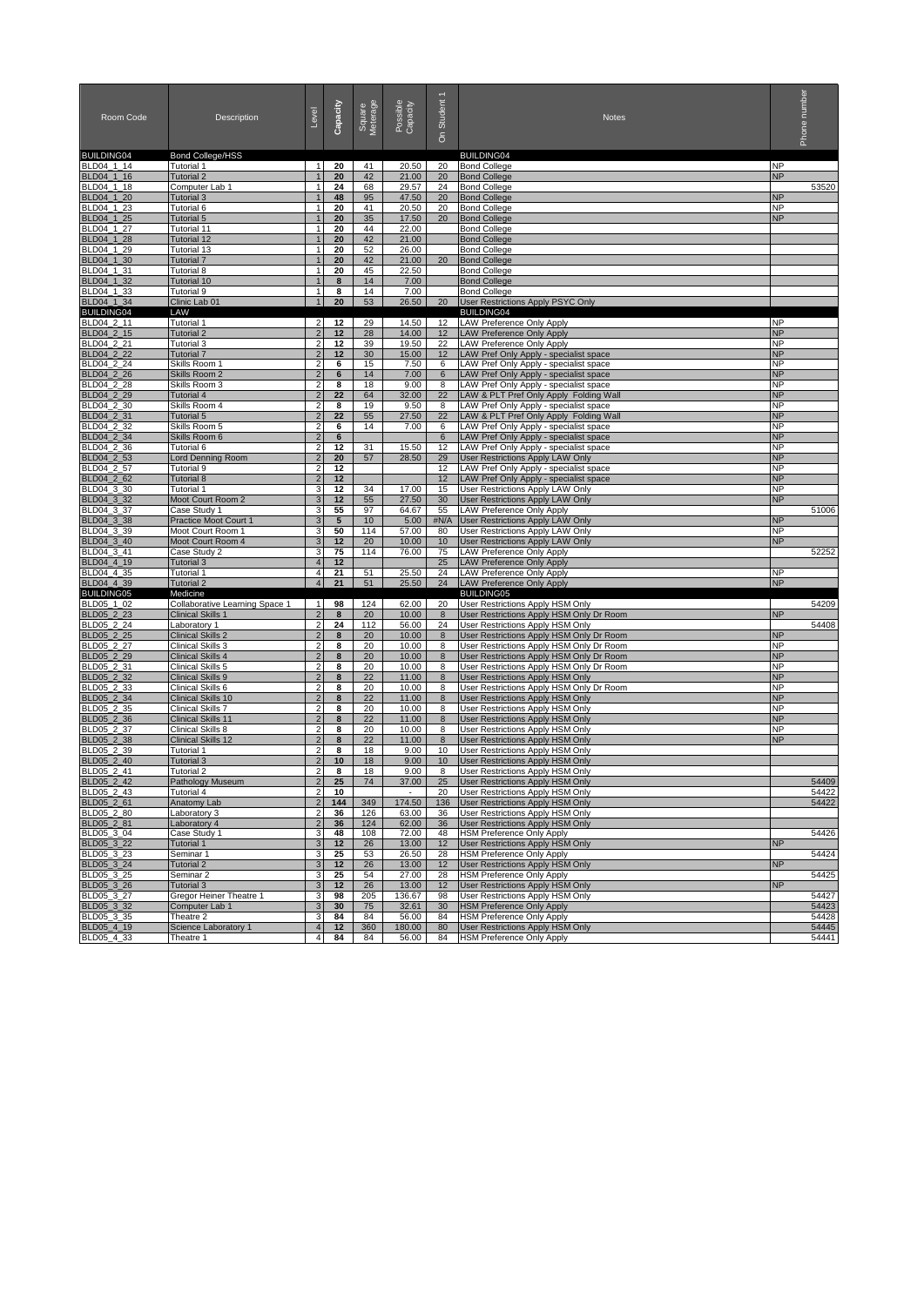| Room Code                       | Description                                    | Level                            | Capacity  | Square<br>Meterage | Possible<br>Capacity | Student 1<br>င်္ | <b>Notes</b>                                                                     | number<br>Phone        |                |
|---------------------------------|------------------------------------------------|----------------------------------|-----------|--------------------|----------------------|------------------|----------------------------------------------------------------------------------|------------------------|----------------|
| <b>BUILDING04</b><br>BLD04 1 14 | Bond College/HSS<br>Tutorial 1                 | $\overline{1}$                   | 20        | 41                 | 20.50                | 20               | <b>BUILDING04</b><br><b>Bond College</b>                                         | <b>NP</b>              |                |
| BLD04_1_16                      | <b>Tutorial 2</b>                              |                                  | 20        | 42                 | 21.00                | 20               | <b>Bond College</b>                                                              | <b>NP</b>              |                |
| BLD04_1_18                      | Computer Lab 1                                 | $\mathbf{1}$                     | 24        | 68                 | 29.57                | 24               | <b>Bond College</b>                                                              |                        | 53520          |
| BLD04_1_20                      | Tutorial 3                                     | 1                                | 48        | 95                 | 47.50                | 20               | <b>Bond College</b>                                                              | <b>NP</b>              |                |
| BLD04 1 23                      | Tutorial 6                                     | $\mathbf{1}$                     | 20        | 41                 | 20.50                | 20               | <b>Bond College</b>                                                              | ΝP                     |                |
| BLD04_1_25                      | Tutorial 5                                     | $\mathbf{1}$                     | 20        | 35                 | 17.50                | 20               | <b>Bond College</b>                                                              | <b>NP</b>              |                |
| BLD04 1 27                      | Tutorial 11                                    | $\mathbf{1}$                     | 20        | 44                 | 22.00                |                  | <b>Bond College</b>                                                              |                        |                |
| BLD04_1_28                      | Tutorial 12<br>Tutorial 13                     | $\mathbf{1}$                     | 20        | 42                 | 21.00                |                  | <b>Bond College</b>                                                              |                        |                |
| BLD04_1_29<br>BLD04 1 30        | Tutorial 7                                     | 1                                | 20<br>20  | 52<br>42           | 26.00<br>21.00       | 20               | <b>Bond College</b><br><b>Bond College</b>                                       |                        |                |
| BLD04_1_31                      | Tutorial 8                                     | $\mathbf{1}$                     | 20        | 45                 | 22.50                |                  | <b>Bond College</b>                                                              |                        |                |
| BLD04_1_32                      | Tutorial 10                                    |                                  | 8         | 14                 | 7.00                 |                  | <b>Bond College</b>                                                              |                        |                |
| BLD04_1_33                      | Tutorial 9                                     | $\mathbf{1}$                     | 8         | 14                 | 7.00                 |                  | <b>Bond College</b>                                                              |                        |                |
| BLD04 1 34                      | Clinic Lab 01                                  | $\mathbf{1}$                     | 20        | 53                 | 26.50                | 20               | User Restrictions Apply PSYC Only                                                |                        |                |
| <b>BUILDING04</b>               | LAW                                            |                                  |           |                    |                      |                  | <b>BUILDING04</b>                                                                |                        |                |
| BLD04_2_11                      | Tutorial 1                                     | $\overline{2}$                   | 12        | 29                 | 14.50                | 12               | <b>LAW Preference Only Apply</b>                                                 | <b>NP</b>              |                |
| BLD04_2_15<br>BLD04 2 21        | <b>Tutorial 2</b><br>Tutorial 3                | $\overline{2}$<br>2              | 12<br>12  | 28<br>39           | 14.00<br>19.50       | 12<br>22         | <b>LAW Preference Only Apply</b><br>LAW Preference Only Apply                    | <b>NP</b><br><b>NP</b> |                |
| BLD04_2_22                      | <b>Tutorial 7</b>                              | $\overline{2}$                   | 12        | 30                 | 15.00                | 12               | LAW Pref Only Apply - specialist space                                           | <b>NP</b>              |                |
| BLD04_2_24                      | Skills Room 1                                  | $\overline{2}$                   | 6         | 15                 | 7.50                 | 6                | LAW Pref Only Apply - specialist space                                           | <b>NP</b>              |                |
| BLD04_2_26                      | Skills Room 2                                  | 2                                | 6         | 14                 | 7.00                 | 6                | LAW Pref Only Apply - specialist space                                           | <b>NP</b>              |                |
| BLD04_2_28                      | Skills Room 3                                  | $\overline{2}$                   | 8         | 18                 | 9.00                 | 8                | LAW Pref Only Apply - specialist space                                           | <b>NP</b>              |                |
| BLD04_2_29                      | <b>Tutorial 4</b>                              | $\mathbf 2$                      | 22        | 64                 | 32.00                | 22               | LAW & PLT Pref Only Apply Folding Wall                                           | <b>NP</b>              |                |
| BLD04_2_30                      | Skills Room 4                                  | $\overline{2}$                   | 8         | 19                 | 9.50                 | 8                | LAW Pref Only Apply - specialist space                                           | <b>NP</b>              |                |
| BLD04 2 31                      | Tutorial 5                                     | $\overline{c}$                   | 22        | 55                 | 27.50                | 22               | LAW & PLT Pref Only Apply Folding Wall                                           | <b>NP</b>              |                |
| BLD04_2_32<br>BLD04_2_34        | Skills Room 5<br>Skills Room 6                 | 2<br>$\overline{2}$              | 6<br>6    | 14                 | 7.00                 | 6<br>6           | LAW Pref Only Apply - specialist space<br>LAW Pref Only Apply - specialist space | <b>NP</b><br><b>NP</b> |                |
| BLD04_2_36                      | Tutorial 6                                     | $\overline{c}$                   | 12        | 31                 | 15.50                | 12               | LAW Pref Only Apply - specialist space                                           | <b>NP</b>              |                |
| BLD04_2_53                      | <b>Lord Denning Room</b>                       | $\overline{2}$                   | 20        | 57                 | 28.50                | 29               | <b>User Restrictions Apply LAW Only</b>                                          | <b>NP</b>              |                |
| BLD04 2 57                      | Tutorial 9                                     | $\overline{2}$                   | 12        |                    |                      | 12               | LAW Pref Only Apply - specialist space                                           | <b>NP</b>              |                |
| BLD04_2_62                      | <b>Tutorial 8</b>                              | $\overline{2}$                   | 12        |                    |                      | 12               | LAW Pref Only Apply - specialist space                                           | <b>NP</b>              |                |
| BLD04_3_30                      | Tutorial 1                                     | 3                                | 12        | 34                 | 17.00                | 15               | User Restrictions Apply LAW Only                                                 | <b>NP</b>              |                |
| BLD04_3_32                      | Moot Court Room 2                              | 3                                | 12        | 55                 | 27.50                | 30               | <b>User Restrictions Apply LAW Only</b>                                          | <b>NP</b>              |                |
| BLD04 3 37                      | Case Study 1                                   | 3                                | 55        | 97                 | 64.67                | 55               | LAW Preference Only Apply                                                        |                        | 51006          |
| BLD04_3_38<br>BLD04 3 39        | Practice Moot Court 1<br>Moot Court Room 1     | 3<br>3                           | 5<br>50   | 10<br>114          | 5.00<br>57.00        | #N/A<br>80       | <b>User Restrictions Apply LAW Only</b><br>User Restrictions Apply LAW Only      | <b>NP</b><br><b>NP</b> |                |
| BLD04_3_40                      | Moot Court Room 4                              | 3                                | 12        | 20                 | 10.00                | 10               | User Restrictions Apply LAW Only                                                 | <b>NP</b>              |                |
| BLD04_3_41                      | Case Study 2                                   | 3                                | 75        | 114                | 76.00                | 75               | <b>LAW Preference Only Apply</b>                                                 |                        | 52252          |
| BLD04_4_19                      | Tutorial 3                                     | $\overline{4}$                   | 12        |                    |                      | 25               | <b>LAW Preference Only Apply</b>                                                 |                        |                |
| BLD04_4_35                      | Tutorial 1                                     | 4                                | 21        | 51                 | 25.50                | 24               | LAW Preference Only Apply                                                        | <b>NP</b>              |                |
| BLD04_4_39                      | <b>Tutorial 2</b>                              | $\overline{4}$                   | 21        | 51                 | 25.50                | 24               | <b>LAW Preference Only Apply</b>                                                 | <b>NP</b>              |                |
| <b>BUILDING05</b>               | Medicine                                       |                                  |           |                    |                      |                  | <b>BUILDING05</b>                                                                |                        |                |
| BLD05 1 02<br>BLD05_2_23        | Collaborative Learning Space 1                 | $\overline{1}$                   | 98        | 124                | 62.00                | 20               | User Restrictions Apply HSM Only                                                 | <b>NP</b>              | 54209          |
| BLD05_2_24                      | Clinical Skills 1<br>Laboratory 1              | $\overline{2}$                   | 8<br>24   | 20<br>112          | 10.00<br>56.00       | 8<br>24          | User Restrictions Apply HSM Only Dr Room<br>User Restrictions Apply HSM Only     |                        | 54408          |
| BLD05_2_25                      | <b>Clinical Skills 2</b>                       | $\overline{2}$                   | 8         | 20                 | 10.00                | 8                | User Restrictions Apply HSM Only Dr Room                                         | <b>NP</b>              |                |
| BLD05_2_27                      | Clinical Skills 3                              | $\overline{2}$                   | 8         | 20                 | 10.00                | 8                | User Restrictions Apply HSM Only Dr Room                                         | <b>NP</b>              |                |
| BLD05_2_29                      | <b>Clinical Skills 4</b>                       | $\overline{2}$                   | 8         | 20                 | 10.00                | $\bf 8$          | User Restrictions Apply HSM Only Dr Room                                         | <b>NP</b>              |                |
| BLD05_2_31                      | Clinical Skills 5                              | $\overline{2}$                   | 8         | 20                 | 10.00                | 8                | User Restrictions Apply HSM Only Dr Room                                         | <b>NP</b>              |                |
| BLD05_2_32                      | Clinical Skills 9                              | $\overline{c}$                   | 8         | 22                 | 11.00                | 8                | User Restrictions Apply HSM Only                                                 | <b>NP</b>              |                |
| BLD05_2_33                      | Clinical Skills 6                              | 2                                | 8         | 20                 | 10.00                | 8                | User Restrictions Apply HSM Only Dr Room                                         | <b>NP</b>              |                |
| BLD05_2_34<br>BLD05_2_35        | <b>Clinical Skills 10</b><br>Clinical Skills 7 | $\overline{2}$<br>$\overline{2}$ | 8<br>8    | 22<br>20           | 11.00<br>10.00       | 8<br>8           | User Restrictions Apply HSM Only<br><b>User Restrictions Apply HSM Only</b>      | <b>NP</b><br><b>NP</b> |                |
| BLD05_2_36                      | <b>Clinical Skills 11</b>                      | $\overline{c}$                   | 8         | 22                 | 11.00                | 8                | User Restrictions Apply HSM Only                                                 | <b>NP</b>              |                |
| BLD05 2 37                      | Clinical Skills 8                              | 2                                | 8         | 20                 | 10.00                | 8                | User Restrictions Apply HSM Only                                                 | <b>NP</b>              |                |
| BLD05 2 38                      | <b>Clinical Skills 12</b>                      | $\overline{2}$                   | 8         | 22                 | 11.00                | 8                | User Restrictions Apply HSM Only                                                 | <b>NP</b>              |                |
| BLD05_2_39                      | Tutorial 1                                     | $\overline{2}$                   | 8         | 18                 | 9.00                 | 10               | User Restrictions Apply HSM Only                                                 |                        |                |
| BLD05_2_40                      | Tutorial 3                                     | $\mathbf 2$                      | 10        | 18                 | 9.00                 | 10 <sup>1</sup>  | User Restrictions Apply HSM Only                                                 |                        |                |
| BLD05 2 41                      | Tutorial 2                                     | 2                                | 8         | 18                 | 9.00                 | 8                | User Restrictions Apply HSM Only                                                 |                        |                |
| RI D05 2 42                     | Pathology Museum                               | $\mathcal{P}$                    | 25        | 74                 | 37.00                | 25               | <b>User Restrictions Apply HSM Only</b>                                          |                        | 54409          |
| BLD05_2_43                      | Tutorial 4                                     | $\overline{2}$<br>$\sqrt{2}$     | 10        |                    | 174.50               | 20               | User Restrictions Apply HSM Only                                                 |                        | 54422<br>54422 |
| BLD05_2_61<br>BLD05_2_80        | <b>Anatomy Lab</b><br>Laboratory 3             | $\overline{2}$                   | 144<br>36 | 349<br>126         | 63.00                | 136<br>36        | User Restrictions Apply HSM Only<br>User Restrictions Apply HSM Only             |                        |                |
| BLD05_2_81                      | Laboratory 4                                   | $\overline{2}$                   | 36        | 124                | 62.00                | 36               | User Restrictions Apply HSM Only                                                 |                        |                |
| BLD05_3_04                      | Case Study 1                                   | 3                                | 48        | 108                | 72.00                | 48               | <b>HSM Preference Only Apply</b>                                                 |                        | 54426          |
| BLD05_3_22                      | Tutorial 1                                     | 3                                | 12        | 26                 | 13.00                | 12               | User Restrictions Apply HSM Only                                                 | <b>NP</b>              |                |
| BLD05_3_23                      | Seminar 1                                      | 3                                | 25        | 53                 | 26.50                | 28               | <b>HSM Preference Only Apply</b>                                                 |                        | 54424          |
| BLD05_3_24                      | Tutorial 2                                     | $\ensuremath{\mathsf{3}}$        | 12        | 26                 | 13.00                | 12               | <b>User Restrictions Apply HSM Only</b>                                          | <b>NP</b>              |                |
| BLD05 3 25                      | Seminar 2                                      | 3                                | 25        | 54                 | 27.00                | 28               | <b>HSM Preference Only Apply</b>                                                 |                        | 54425          |
| BLD05_3_26                      | Tutorial 3<br>Gregor Heiner Theatre 1          | $\ensuremath{\mathsf{3}}$        | 12        | 26                 | 13.00                | 12               | User Restrictions Apply HSM Only                                                 | <b>NP</b>              |                |
| BLD05_3_27<br>BLD05_3_32        | Computer Lab 1                                 | 3<br>$\ensuremath{\mathsf{3}}$   | 98<br>30  | 205<br>75          | 136.67<br>32.61      | 98<br>30         | User Restrictions Apply HSM Only<br><b>HSM Preference Only Apply</b>             |                        | 54427<br>54423 |
| BLD05_3_35                      | Theatre 2                                      | $\ensuremath{\mathsf{3}}$        | 84        | 84                 | 56.00                | 84               | <b>HSM Preference Only Apply</b>                                                 |                        | 54428          |
| BLD05_4_19                      | Science Laboratory 1                           | $\overline{\mathbf{4}}$          | 12        | 360                | 180.00               | 80               | User Restrictions Apply HSM Only                                                 |                        | 54445          |
| BLD05_4_33                      | Theatre 1                                      | 4                                | 84        | 84                 | 56.00                | 84               | <b>HSM Preference Only Apply</b>                                                 |                        | 54441          |